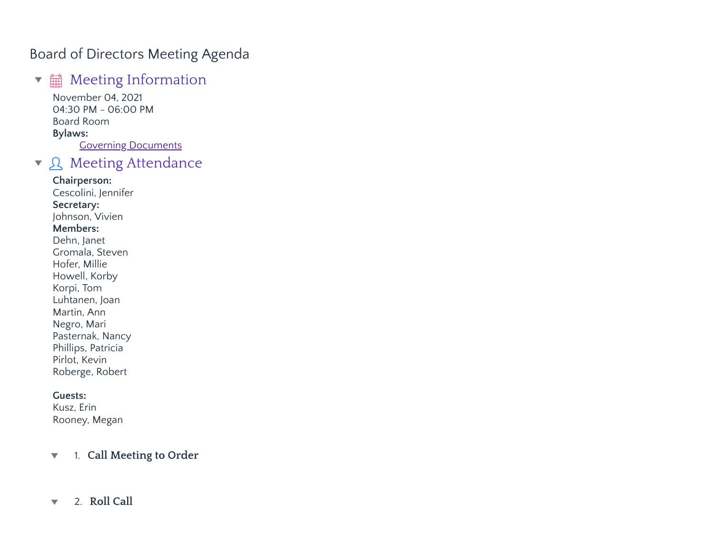## Board of Directors Meeting Agenda

# $\bullet$   $\hat{m}$  Meeting Information

November 04, 2021 04:30 PM - 06:00 PM Board Room **Bylaws:** Governing Documents

## ▼ Q Meeting Attendance

### **Chairperson:** Cescolini, Jennifer

**Secretary:** Johnson, Vivien **Members:** Dehn, Janet Gromala, Steven Hofer, Millie Howell, Korby Korpi, Tom Luhtanen, Joan Martin, Ann Negro, Mari Pasternak, Nancy Phillips, Patricia Pirlot, Kevin Roberge, Robert

## **Guests:**

Kusz, Erin Rooney, Megan

1. **Call Meeting to Order**  $\blacktriangledown$ 

#### 2. **Roll Call** $\blacktriangledown$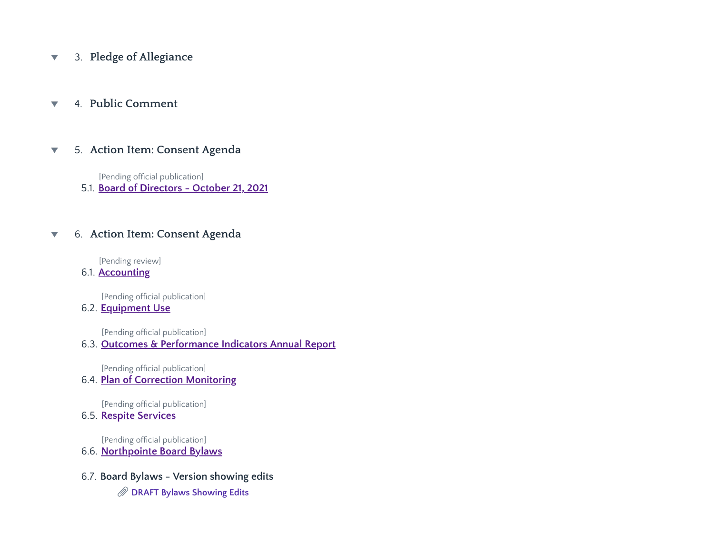3. **Pledge of Allegiance**  $\blacktriangledown$ 

#### 4. **Public Comment**  $\overline{\mathbf{v}}$

#### 5. **Action Item: Consent Agenda**  $\overline{\mathbf{v}}$

[Pending official publication]

5.1. **Board of Directors - October 21, 2021**

#### 6. **Action Item: Consent Agenda**  $\blacktriangledown$

[Pending review]

6.1. **Accounting**

[Pending official publication]

## 6.2. **Equipment Use**

[Pending official publication]

### 6.3. **Outcomes & Performance Indicators Annual Report**

[Pending official publication]

6.4. **Plan of Correction Monitoring**

[Pending official publication]

6.5. **Respite Services**

[Pending official publication]

- 6.6. **Northpointe Board Bylaws**
- 6.7. **Board Bylaws - Version showing edits**
	- **DRAFT Bylaws [Showing Edits](https://www.lucidoc.com/cgi/doc-gw.pl?ref=nbhs:12085)**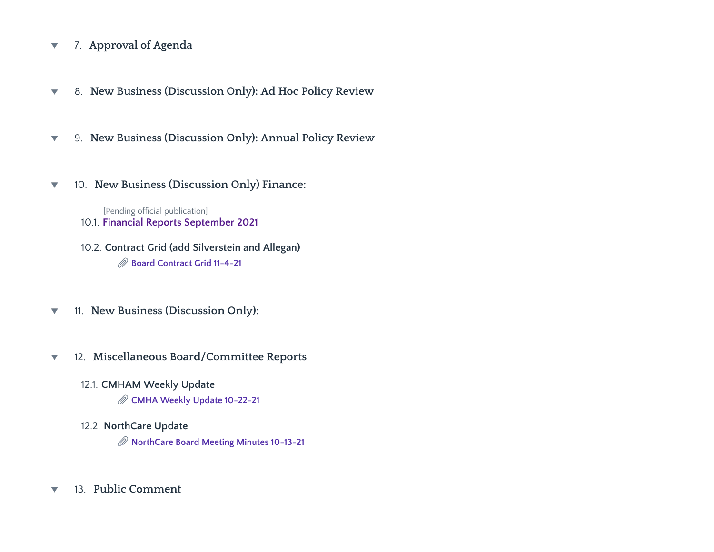- 7. **Approval of Agenda**  $\blacktriangledown$
- 8. **New Business (Discussion Only): Ad Hoc Policy Review**  $\blacktriangledown$
- 9. **New Business (Discussion Only): Annual Policy Review**  $\blacktriangledown$
- 10. **New Business (Discussion Only) Finance:**  $\blacktriangledown$

10.1. **Financial Reports September 2021** [Pending official publication]

- 10.2. **Contract Grid (add Silverstein and Allegan) Board [Contract](https://www.lucidoc.com/cgi/doc-gw.pl?ref=nbhs:12110) Grid 11-4-21**
- 11. **New Business (Discussion Only):**  $\blacktriangledown$
- 12. **Miscellaneous Board/Committee Reports**  $\blacktriangledown$ 
	- 12.1. **CMHAM Weekly Update CMHA Weekly Update [10-22-21](https://www.lucidoc.com/cgi/doc-gw.pl?ref=nbhs:12108)**
	- 12.2. **NorthCare Update NorthCare Board [Meeting Minutes](https://www.lucidoc.com/cgi/doc-gw.pl?ref=nbhs:12109) 10-13-21**
- 13. **Public Comment** $\blacktriangledown$